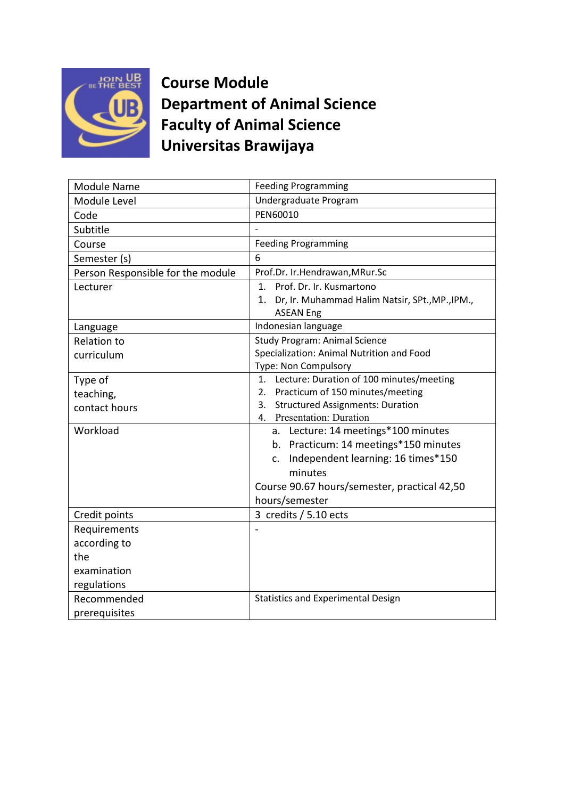

**Course Module Department of Animal Science Faculty of Animal Science Universitas Brawijaya**

| Module Name                       | <b>Feeding Programming</b>                            |
|-----------------------------------|-------------------------------------------------------|
| Module Level                      | Undergraduate Program                                 |
| Code                              | PEN60010                                              |
| Subtitle                          |                                                       |
| Course                            | <b>Feeding Programming</b>                            |
| Semester (s)                      | 6                                                     |
| Person Responsible for the module | Prof.Dr. Ir.Hendrawan, MRur.Sc                        |
| Lecturer                          | 1. Prof. Dr. Ir. Kusmartono                           |
|                                   | Dr, Ir. Muhammad Halim Natsir, SPt., MP., IPM.,<br>1. |
|                                   | <b>ASEAN Eng</b>                                      |
| Language                          | Indonesian language                                   |
| <b>Relation to</b>                | <b>Study Program: Animal Science</b>                  |
| curriculum                        | Specialization: Animal Nutrition and Food             |
|                                   | Type: Non Compulsory                                  |
| Type of                           | Lecture: Duration of 100 minutes/meeting<br>1.        |
| teaching,                         | Practicum of 150 minutes/meeting<br>2.                |
| contact hours                     | <b>Structured Assignments: Duration</b><br>3.         |
|                                   | 4. Presentation: Duration                             |
| Workload                          | a. Lecture: 14 meetings*100 minutes                   |
|                                   | b. Practicum: 14 meetings*150 minutes                 |
|                                   | Independent learning: 16 times*150<br>C <sub>1</sub>  |
|                                   | minutes                                               |
|                                   | Course 90.67 hours/semester, practical 42,50          |
|                                   | hours/semester                                        |
| Credit points                     | 3 credits / 5.10 ects                                 |
| Requirements                      |                                                       |
| according to                      |                                                       |
| the                               |                                                       |
| examination                       |                                                       |
| regulations                       |                                                       |
| Recommended                       | <b>Statistics and Experimental Design</b>             |
| prerequisites                     |                                                       |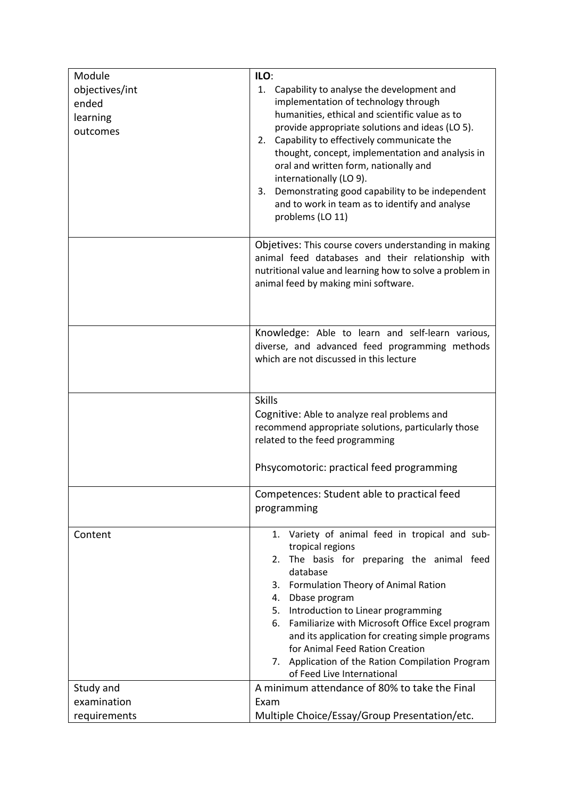| Module                                          | ILO:                                                                                                                                                                                                                                                                                                                                                                                                                                                                                             |
|-------------------------------------------------|--------------------------------------------------------------------------------------------------------------------------------------------------------------------------------------------------------------------------------------------------------------------------------------------------------------------------------------------------------------------------------------------------------------------------------------------------------------------------------------------------|
| objectives/int<br>ended<br>learning<br>outcomes | 1. Capability to analyse the development and<br>implementation of technology through<br>humanities, ethical and scientific value as to<br>provide appropriate solutions and ideas (LO 5).<br>2. Capability to effectively communicate the<br>thought, concept, implementation and analysis in<br>oral and written form, nationally and<br>internationally (LO 9).<br>Demonstrating good capability to be independent<br>3.<br>and to work in team as to identify and analyse<br>problems (LO 11) |
|                                                 | Objetives: This course covers understanding in making<br>animal feed databases and their relationship with<br>nutritional value and learning how to solve a problem in<br>animal feed by making mini software.                                                                                                                                                                                                                                                                                   |
|                                                 | Knowledge: Able to learn and self-learn various,<br>diverse, and advanced feed programming methods<br>which are not discussed in this lecture                                                                                                                                                                                                                                                                                                                                                    |
|                                                 | <b>Skills</b><br>Cognitive: Able to analyze real problems and<br>recommend appropriate solutions, particularly those<br>related to the feed programming                                                                                                                                                                                                                                                                                                                                          |
|                                                 | Phsycomotoric: practical feed programming                                                                                                                                                                                                                                                                                                                                                                                                                                                        |
|                                                 | Competences: Student able to practical feed<br>programming                                                                                                                                                                                                                                                                                                                                                                                                                                       |
| Content                                         | 1. Variety of animal feed in tropical and sub-<br>tropical regions<br>The basis for preparing the animal feed<br>2.<br>database<br>3. Formulation Theory of Animal Ration<br>Dbase program<br>4.<br>Introduction to Linear programming<br>5.<br>Familiarize with Microsoft Office Excel program<br>6.<br>and its application for creating simple programs<br>for Animal Feed Ration Creation<br>Application of the Ration Compilation Program<br>7.<br>of Feed Live International                |
| Study and                                       | A minimum attendance of 80% to take the Final                                                                                                                                                                                                                                                                                                                                                                                                                                                    |
| examination                                     | Exam                                                                                                                                                                                                                                                                                                                                                                                                                                                                                             |
| requirements                                    | Multiple Choice/Essay/Group Presentation/etc.                                                                                                                                                                                                                                                                                                                                                                                                                                                    |